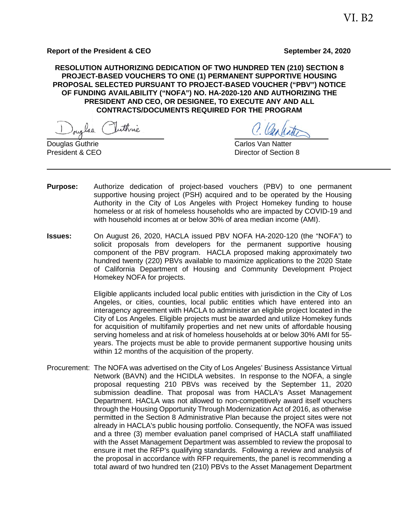**RESOLUTION AUTHORIZING DEDICATION OF TWO HUNDRED TEN (210) SECTION 8 PROJECT-BASED VOUCHERS TO ONE (1) PERMANENT SUPPORTIVE HOUSING PROPOSAL SELECTED PURSUANT TO PROJECT-BASED VOUCHER ("PBV") NOTICE OF FUNDING AVAILABILITY ("NOFA") NO. HA-2020-120 AND AUTHORIZING THE PRESIDENT AND CEO, OR DESIGNEE, TO EXECUTE ANY AND ALL CONTRACTS/DOCUMENTS REQUIRED FOR THE PROGRAM**

laa

**Douglas Guthrie Carlos Van Natter** Carlos Van Natter President & CEO **Director of Section 8** 

- **Purpose:** Authorize dedication of project-based vouchers (PBV) to one permanent supportive housing project (PSH) acquired and to be operated by the Housing Authority in the City of Los Angeles with Project Homekey funding to house homeless or at risk of homeless households who are impacted by COVID-19 and with household incomes at or below 30% of area median income (AMI).
- **Issues:** On August 26, 2020, HACLA issued PBV NOFA HA-2020-120 (the "NOFA") to solicit proposals from developers for the permanent supportive housing component of the PBV program. HACLA proposed making approximately two hundred twenty (220) PBVs available to maximize applications to the 2020 State of California Department of Housing and Community Development Project Homekey NOFA for projects.

Eligible applicants included local public entities with jurisdiction in the City of Los Angeles, or cities, counties, local public entities which have entered into an interagency agreement with HACLA to administer an eligible project located in the City of Los Angeles. Eligible projects must be awarded and utilize Homekey funds for acquisition of multifamily properties and net new units of affordable housing serving homeless and at risk of homeless households at or below 30% AMI for 55 years. The projects must be able to provide permanent supportive housing units within 12 months of the acquisition of the property.

Procurement: The NOFA was advertised on the City of Los Angeles' Business Assistance Virtual Network (BAVN) and the HCIDLA websites. In response to the NOFA, a single proposal requesting 210 PBVs was received by the September 11, 2020 submission deadline. That proposal was from HACLA's Asset Management Department. HACLA was not allowed to non-competitively award itself vouchers through the Housing Opportunity Through Modernization Act of 2016, as otherwise permitted in the Section 8 Administrative Plan because the project sites were not already in HACLA's public housing portfolio. Consequently, the NOFA was issued and a three (3) member evaluation panel comprised of HACLA staff unaffiliated with the Asset Management Department was assembled to review the proposal to ensure it met the RFP's qualifying standards. Following a review and analysis of the proposal in accordance with RFP requirements, the panel is recommending a total award of two hundred ten (210) PBVs to the Asset Management Department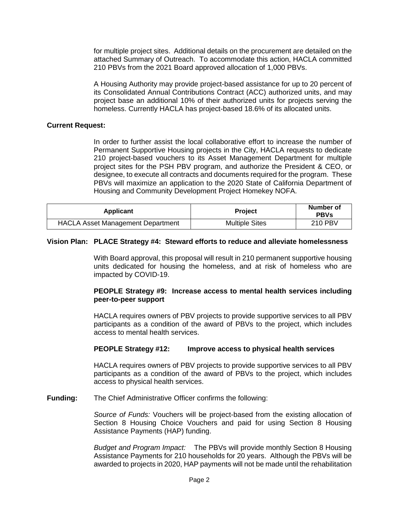for multiple project sites. Additional details on the procurement are detailed on the attached Summary of Outreach. To accommodate this action, HACLA committed 210 PBVs from the 2021 Board approved allocation of 1,000 PBVs.

A Housing Authority may provide project-based assistance for up to 20 percent of its Consolidated Annual Contributions Contract (ACC) authorized units, and may project base an additional 10% of their authorized units for projects serving the homeless. Currently HACLA has project-based 18.6% of its allocated units.

### **Current Request:**

In order to further assist the local collaborative effort to increase the number of Permanent Supportive Housing projects in the City, HACLA requests to dedicate 210 project-based vouchers to its Asset Management Department for multiple project sites for the PSH PBV program, and authorize the President & CEO, or designee, to execute all contracts and documents required for the program. These PBVs will maximize an application to the 2020 State of California Department of Housing and Community Development Project Homekey NOFA.

| <b>Applicant</b>                         | <b>Project</b>        | Number of<br><b>PBVs</b> |
|------------------------------------------|-----------------------|--------------------------|
| <b>HACLA Asset Management Department</b> | <b>Multiple Sites</b> | <b>210 PBV</b>           |

#### **Vision Plan: PLACE Strategy #4: Steward efforts to reduce and alleviate homelessness**

With Board approval, this proposal will result in 210 permanent supportive housing units dedicated for housing the homeless, and at risk of homeless who are impacted by COVID-19.

### **PEOPLE Strategy #9: Increase access to mental health services including peer-to-peer support**

HACLA requires owners of PBV projects to provide supportive services to all PBV participants as a condition of the award of PBVs to the project, which includes access to mental health services.

#### **PEOPLE Strategy #12: Improve access to physical health services**

HACLA requires owners of PBV projects to provide supportive services to all PBV participants as a condition of the award of PBVs to the project, which includes access to physical health services.

**Funding:** The Chief Administrative Officer confirms the following:

*Source of Funds:* Vouchers will be project-based from the existing allocation of Section 8 Housing Choice Vouchers and paid for using Section 8 Housing Assistance Payments (HAP) funding.

*Budget and Program Impact:* The PBVs will provide monthly Section 8 Housing Assistance Payments for 210 households for 20 years. Although the PBVs will be awarded to projects in 2020, HAP payments will not be made until the rehabilitation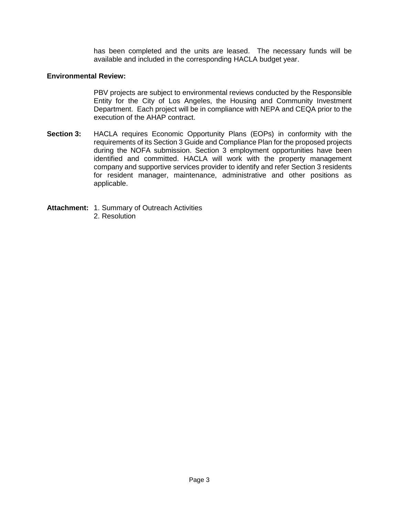has been completed and the units are leased. The necessary funds will be available and included in the corresponding HACLA budget year.

### **Environmental Review:**

PBV projects are subject to environmental reviews conducted by the Responsible Entity for the City of Los Angeles, the Housing and Community Investment Department. Each project will be in compliance with NEPA and CEQA prior to the execution of the AHAP contract.

- **Section 3:** HACLA requires Economic Opportunity Plans (EOPs) in conformity with the requirements of its Section 3 Guide and Compliance Plan for the proposed projects during the NOFA submission. Section 3 employment opportunities have been identified and committed. HACLA will work with the property management company and supportive services provider to identify and refer Section 3 residents for resident manager, maintenance, administrative and other positions as applicable.
- **Attachment:** 1. Summary of Outreach Activities
	- 2. Resolution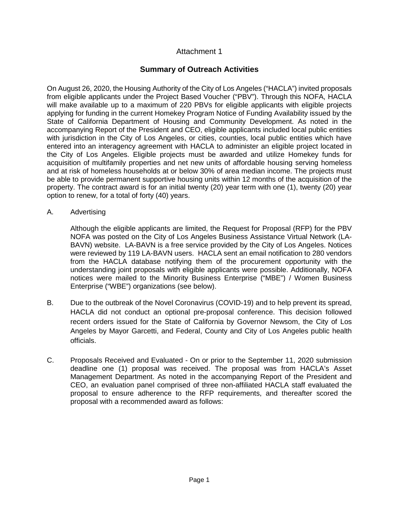# Attachment 1

## **Summary of Outreach Activities**

On August 26, 2020, the Housing Authority of the City of Los Angeles ("HACLA") invited proposals from eligible applicants under the Project Based Voucher ("PBV"). Through this NOFA, HACLA will make available up to a maximum of 220 PBVs for eligible applicants with eligible projects applying for funding in the current Homekey Program Notice of Funding Availability issued by the State of California Department of Housing and Community Development. As noted in the accompanying Report of the President and CEO, eligible applicants included local public entities with jurisdiction in the City of Los Angeles, or cities, counties, local public entities which have entered into an interagency agreement with HACLA to administer an eligible project located in the City of Los Angeles. Eligible projects must be awarded and utilize Homekey funds for acquisition of multifamily properties and net new units of affordable housing serving homeless and at risk of homeless households at or below 30% of area median income. The projects must be able to provide permanent supportive housing units within 12 months of the acquisition of the property. The contract award is for an initial twenty (20) year term with one (1), twenty (20) year option to renew, for a total of forty (40) years.

A. Advertising

Although the eligible applicants are limited, the Request for Proposal (RFP) for the PBV NOFA was posted on the City of Los Angeles Business Assistance Virtual Network (LA-BAVN) website. LA-BAVN is a free service provided by the City of Los Angeles. Notices were reviewed by 119 LA-BAVN users. HACLA sent an email notification to 280 vendors from the HACLA database notifying them of the procurement opportunity with the understanding joint proposals with eligible applicants were possible. Additionally, NOFA notices were mailed to the Minority Business Enterprise ("MBE") / Women Business Enterprise ("WBE") organizations (see below).

- B. Due to the outbreak of the Novel Coronavirus (COVID-19) and to help prevent its spread, HACLA did not conduct an optional pre-proposal conference. This decision followed recent orders issued for the State of California by Governor Newsom, the City of Los Angeles by Mayor Garcetti, and Federal, County and City of Los Angeles public health officials.
- C. Proposals Received and Evaluated On or prior to the September 11, 2020 submission deadline one (1) proposal was received. The proposal was from HACLA's Asset Management Department. As noted in the accompanying Report of the President and CEO, an evaluation panel comprised of three non-affiliated HACLA staff evaluated the proposal to ensure adherence to the RFP requirements, and thereafter scored the proposal with a recommended award as follows: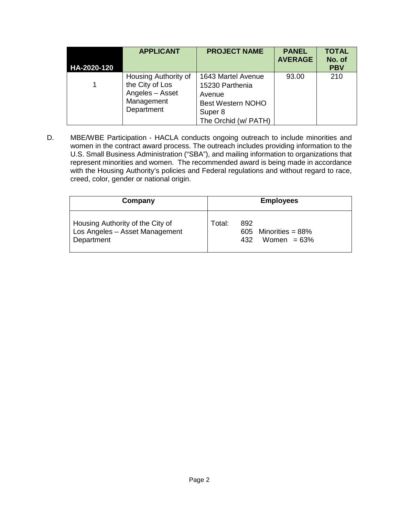| HA-2020-120 | <b>APPLICANT</b>                                                                       | <b>PROJECT NAME</b>                                                                                            | <b>PANEL</b><br><b>AVERAGE</b> | <b>TOTAL</b><br>No. of<br><b>PBV</b> |
|-------------|----------------------------------------------------------------------------------------|----------------------------------------------------------------------------------------------------------------|--------------------------------|--------------------------------------|
|             | Housing Authority of<br>the City of Los<br>Angeles - Asset<br>Management<br>Department | 1643 Martel Avenue<br>15230 Parthenia<br>Avenue<br><b>Best Western NOHO</b><br>Super 8<br>The Orchid (w/ PATH) | 93.00                          | 210                                  |

D. MBE/WBE Participation - HACLA conducts ongoing outreach to include minorities and women in the contract award process. The outreach includes providing information to the U.S. Small Business Administration ("SBA"), and mailing information to organizations that represent minorities and women. The recommended award is being made in accordance with the Housing Authority's policies and Federal regulations and without regard to race, creed, color, gender or national origin.

| Company                                                                          | <b>Employees</b>                                                 |  |  |
|----------------------------------------------------------------------------------|------------------------------------------------------------------|--|--|
| Housing Authority of the City of<br>Los Angeles - Asset Management<br>Department | Total:<br>892<br>605 Minorities = $88\%$<br>Women $=63\%$<br>432 |  |  |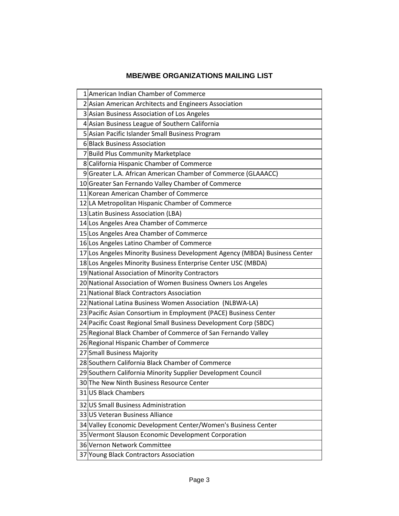# **MBE/WBE ORGANIZATIONS MAILING LIST**

| 1 American Indian Chamber of Commerce                                      |  |  |
|----------------------------------------------------------------------------|--|--|
| 2 Asian American Architects and Engineers Association                      |  |  |
| 3 Asian Business Association of Los Angeles                                |  |  |
| 4 Asian Business League of Southern California                             |  |  |
| 5 Asian Pacific Islander Small Business Program                            |  |  |
| 6 Black Business Association                                               |  |  |
| 7 Build Plus Community Marketplace                                         |  |  |
| 8 California Hispanic Chamber of Commerce                                  |  |  |
| 9 Greater L.A. African American Chamber of Commerce (GLAAACC)              |  |  |
| 10 Greater San Fernando Valley Chamber of Commerce                         |  |  |
| 11 Korean American Chamber of Commerce                                     |  |  |
| 12 LA Metropolitan Hispanic Chamber of Commerce                            |  |  |
| 13 Latin Business Association (LBA)                                        |  |  |
| 14 Los Angeles Area Chamber of Commerce                                    |  |  |
| 15 Los Angeles Area Chamber of Commerce                                    |  |  |
| 16 Los Angeles Latino Chamber of Commerce                                  |  |  |
| 17 Los Angeles Minority Business Development Agency (MBDA) Business Center |  |  |
| 18 Los Angeles Minority Business Enterprise Center USC (MBDA)              |  |  |
| 19 National Association of Minority Contractors                            |  |  |
| 20 National Association of Women Business Owners Los Angeles               |  |  |
| 21 National Black Contractors Association                                  |  |  |
| 22 National Latina Business Women Association (NLBWA-LA)                   |  |  |
| 23 Pacific Asian Consortium in Employment (PACE) Business Center           |  |  |
| 24 Pacific Coast Regional Small Business Development Corp (SBDC)           |  |  |
| 25 Regional Black Chamber of Commerce of San Fernando Valley               |  |  |
| 26 Regional Hispanic Chamber of Commerce                                   |  |  |
| 27 Small Business Majority                                                 |  |  |
| 28 Southern California Black Chamber of Commerce                           |  |  |
| 29 Southern California Minority Supplier Development Council               |  |  |
| 30 The New Ninth Business Resource Center                                  |  |  |
| 31 US Black Chambers                                                       |  |  |
| 32 US Small Business Administration                                        |  |  |
| 33 US Veteran Business Alliance                                            |  |  |
| 34 Valley Economic Development Center/Women's Business Center              |  |  |
| 35 Vermont Slauson Economic Development Corporation                        |  |  |
| 36 Vernon Network Committee                                                |  |  |
| 37 Young Black Contractors Association                                     |  |  |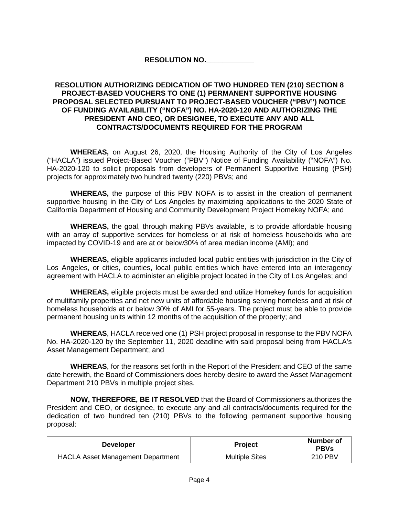### **RESOLUTION NO.\_\_\_\_\_\_\_\_\_\_\_\_**

### **RESOLUTION AUTHORIZING DEDICATION OF TWO HUNDRED TEN (210) SECTION 8 PROJECT-BASED VOUCHERS TO ONE (1) PERMANENT SUPPORTIVE HOUSING PROPOSAL SELECTED PURSUANT TO PROJECT-BASED VOUCHER ("PBV") NOTICE OF FUNDING AVAILABILITY ("NOFA") NO. HA-2020-120 AND AUTHORIZING THE PRESIDENT AND CEO, OR DESIGNEE, TO EXECUTE ANY AND ALL CONTRACTS/DOCUMENTS REQUIRED FOR THE PROGRAM**

**WHEREAS,** on August 26, 2020, the Housing Authority of the City of Los Angeles ("HACLA") issued Project-Based Voucher ("PBV") Notice of Funding Availability ("NOFA") No. HA-2020-120 to solicit proposals from developers of Permanent Supportive Housing (PSH) projects for approximately two hundred twenty (220) PBVs; and

**WHEREAS,** the purpose of this PBV NOFA is to assist in the creation of permanent supportive housing in the City of Los Angeles by maximizing applications to the 2020 State of California Department of Housing and Community Development Project Homekey NOFA; and

**WHEREAS,** the goal, through making PBVs available, is to provide affordable housing with an array of supportive services for homeless or at risk of homeless households who are impacted by COVID-19 and are at or below30% of area median income (AMI); and

**WHEREAS,** eligible applicants included local public entities with jurisdiction in the City of Los Angeles, or cities, counties, local public entities which have entered into an interagency agreement with HACLA to administer an eligible project located in the City of Los Angeles; and

**WHEREAS,** eligible projects must be awarded and utilize Homekey funds for acquisition of multifamily properties and net new units of affordable housing serving homeless and at risk of homeless households at or below 30% of AMI for 55-years. The project must be able to provide permanent housing units within 12 months of the acquisition of the property; and

**WHEREAS**, HACLA received one (1) PSH project proposal in response to the PBV NOFA No. HA-2020-120 by the September 11, 2020 deadline with said proposal being from HACLA's Asset Management Department; and

**WHEREAS**, for the reasons set forth in the Report of the President and CEO of the same date herewith, the Board of Commissioners does hereby desire to award the Asset Management Department 210 PBVs in multiple project sites.

**NOW, THEREFORE, BE IT RESOLVED** that the Board of Commissioners authorizes the President and CEO, or designee, to execute any and all contracts/documents required for the dedication of two hundred ten (210) PBVs to the following permanent supportive housing proposal:

| <b>Developer</b>                         | <b>Project</b>        | Number of<br><b>PBVs</b> |
|------------------------------------------|-----------------------|--------------------------|
| <b>HACLA Asset Management Department</b> | <b>Multiple Sites</b> | <b>210 PBV</b>           |